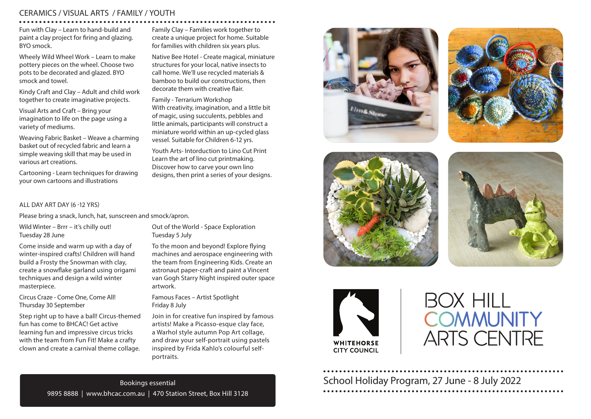### CERAMICS / VISUAL ARTS / FAMILY / YOUTH

Fun with Clay – Learn to hand-build and paint a clay project for firing and glazing. BYO smock.

Wheely Wild Wheel Work – Learn to make pottery pieces on the wheel. Choose two pots to be decorated and glazed. BYO smock and towel.

Kindy Craft and Clay – Adult and child work together to create imaginative projects.

Visual Arts and Craft – Bring your imagination to life on the page using a variety of mediums.

Weaving Fabric Basket – Weave a charming basket out of recycled fabric and learn a simple weaving skill that may be used in various art creations.

Cartooning - Learn techniques for drawing your own cartoons and illustrations

ALL DAY ART DAY (6 -12 YRS)

Please bring a snack, lunch, hat, sunscreen and smock/apron.

Wild Winter – Brrr – it's chilly out! Tuesday 28 June

Come inside and warm up with a day of winter-inspired crafts! Children will hand build a Frosty the Snowman with clay, create a snowflake garland using origami techniques and design a wild winter masterpiece.

Circus Craze - Come One, Come All! Thursday 30 September

Step right up to have a ball! Circus-themed fun has come to BHCAC! Get active learning fun and impressive circus tricks with the team from Fun Fit! Make a crafty clown and create a carnival theme collage.

Family Clay – Families work together to create a unique project for home. Suitable for families with children six years plus.

Native Bee Hotel - Create magical, miniature structures for your local, native insects to call home. We'll use recycled materials & bamboo to build our constructions, then decorate them with creative flair.

Family - Terrarium Workshop With creativity, imagination, and a little bit of magic, using succulents, pebbles and little animals, participants will construct a miniature world within an up-cycled glass vessel. Suitable for Children 6-12 yrs.

Youth Arts- Intorduction to Lino Cut Print Learn the art of lino cut printmaking. Discover how to carve your own lino designs, then print a series of your designs.

Out of the World - Space Exploration Tuesday 5 July

To the moon and beyond! Explore flying machines and aerospace engineering with the team from Engineering Kids. Create an astronaut paper-craft and paint a Vincent van Gogh Starry Night inspired outer space artwork.

Famous Faces – Artist Spotlight Friday 8 July

Join in for creative fun inspired by famous artists! Make a Picasso-esque clay face, a Warhol style autumn Pop Art collage, and draw your self-portrait using pastels inspired by Frida Kahlo's colourful selfportraits.











# **BOX HILL COMMUNITY ARTS CENTRE**

School Holiday Program, 27 June - 8 July 2022